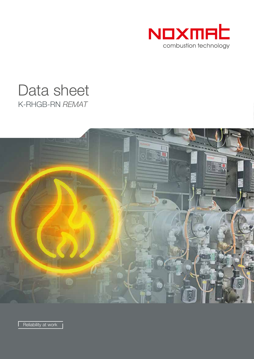

# K-RHGB-RN *REMAT* Data sheet



Reliability at work |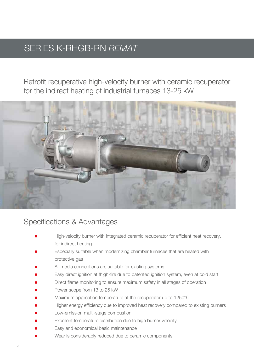## SERIES K-RHGB-RN *REMAT*

Retrofit recuperative high-velocity burner with ceramic recuperator for the indirect heating of industrial furnaces 13-25 kW



#### Specifications & Advantages

- High-velocity burner with integrated ceramic recuperator for efficient heat recovery, for indirect heating
- Especially suitable when modernizing chamber furnaces that are heated with protective gas
- All media connections are suitable for existing systems
- Easy direct ignition at fhigh-fire due to patented ignition system, even at cold start
- Direct flame monitoring to ensure maximum safety in all stages of operation
- Power scope from 13 to 25 kW
- Maximum application temperature at the recuperator up to 1250°C
- Higher energy efficiency due to improved heat recovery compared to existing burners
- Low-emission multi-stage combustion
- Excellent temperature distribution due to high burner velocity
- Easy and economical basic maintenance
- Wear is considerably reduced due to ceramic components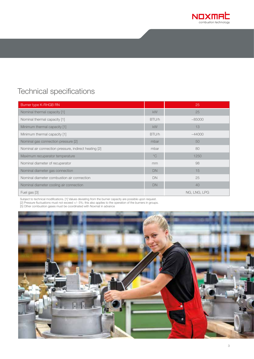

### Technical specifications

| Burner type K-RHGB RN                                 |              | 25           |
|-------------------------------------------------------|--------------|--------------|
| Nominal thermal capacity [1]                          | <b>kW</b>    | 25           |
| Nominal thermal capacity [1]                          | BTU/h        | ~185000      |
| Minimum thermal capacity [1]                          | <b>kW</b>    | 13           |
| Minimum thermal capacity [1]                          | BTU/h        | ~144000      |
| Nominal gas connection pressure [2]                   | mbar         | 50           |
| Nominal air connection pressure, indirect heating [2] | mbar         | 80           |
| Maximum recuperator temperature                       | $^{\circ}$ C | 1250         |
| Nominal diameter of recuperator                       | mm           | 98           |
| Nominal diameter gas connection                       | <b>DN</b>    | 15           |
| Nominal diameter combustion air connection            | DN           | 25           |
| Nominal diameter cooling air connection               | <b>DN</b>    | 40           |
| Fuel gas [3]                                          |              | NG, LNG, LPG |

Subject to technical modifications. [1] Values deviating from the burner capacity are possible upon request.

[2] Pressure fluctuations must not exceed +/- 5%; this also applies to the operation of the burners in groups.

[5] Other combustion gases must be coordinated with Noxmat in advance

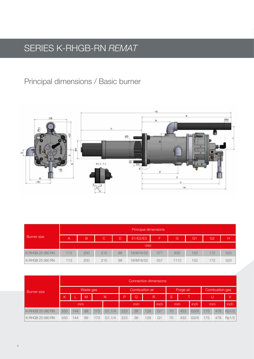# SERIES K-RHGB-RN *REMAT*

### Principal dimensions / Basic burner



| <b>Burner</b> size |     | Principal dimensions |     |    |           |     |      |     |                |     |  |  |  |
|--------------------|-----|----------------------|-----|----|-----------|-----|------|-----|----------------|-----|--|--|--|
|                    | A   | B                    | C   | D  | E1/E2/E3  |     | G    | G1  | G <sub>2</sub> | Ή   |  |  |  |
|                    | mm  |                      |     |    |           |     |      |     |                |     |  |  |  |
| K-RHGB 25-380 RN   | 113 | 200                  | 210 | 98 | 18/M16/52 | 377 | 930  | 152 | 172            | 520 |  |  |  |
| K-RHGB 25-560 RN   | 113 | 200                  | 210 | 98 | 18/M16/52 | 557 | 1110 | 152 | 172            | 520 |  |  |  |

| <b>Burner</b> size      |     | Connection dimensions                 |           |     |        |                |    |      |    |           |      |      |                |      |       |
|-------------------------|-----|---------------------------------------|-----------|-----|--------|----------------|----|------|----|-----------|------|------|----------------|------|-------|
|                         |     |                                       | Waste gas |     |        | Combustion air |    |      |    | Purge air |      |      | Combustion gas |      |       |
|                         | К   | <sub>S</sub><br>M<br>P<br>Q<br>R<br>N |           |     |        |                |    |      |    | IV.       |      |      |                |      |       |
|                         | mm  |                                       |           |     | mm     |                |    | inch | mm |           | inch | mm   |                | inch |       |
| <b>K-RHGB 25-380 RN</b> | 550 | 144                                   | 99        | 173 | G1.1/4 | 223            | 38 | 129  | G1 | 70        | 433  | G3/8 | 175            | 478  | Rp1/2 |
| K-RHGB 25-560 RN        | 550 | 144                                   | 99        | 173 | G1.1/4 | 223            | 38 | 129  | G1 | 70        | 433  | G3/8 | 175            | 478  | Rp1/2 |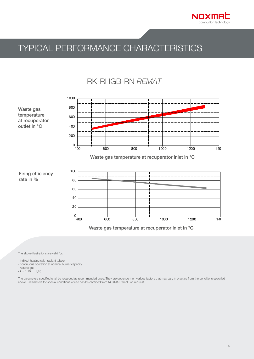

## TYPICAL PERFORMANCE CHARACTERISTICS

#### **RK-RHGB-RN REMAT**



The above illustrations are valid for:

- indirect heating (with radiant tubes)

- continuous operation at nominal burner capacity

- natural gas

 $-\lambda = 1,10...1,20$ 

The parameters specified shall be regarded as recommended ones. They are dependent on various factors that may vary in practice from the conditions specified above. Parameters for special conditions of use can be obtained from NOXMAT GmbH on request.